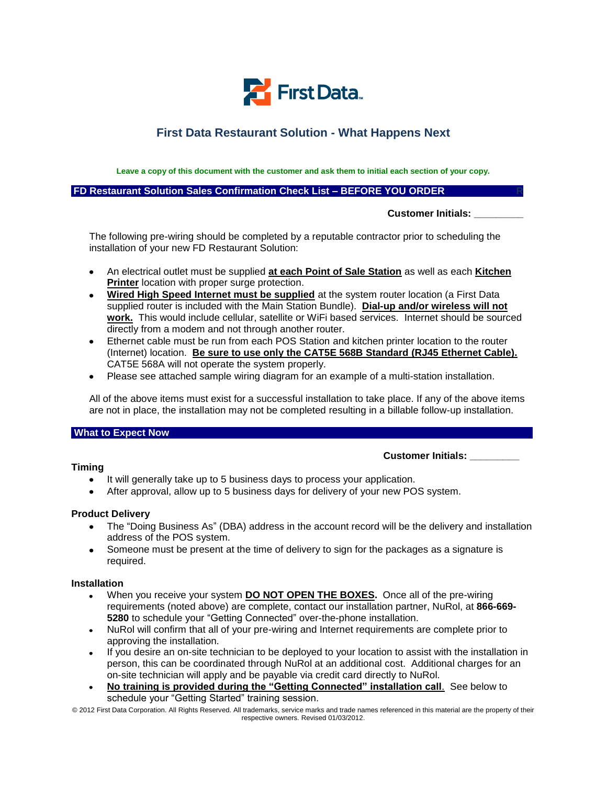

# **First Data Restaurant Solution - What Happens Next**

**Leave a copy of this document with the customer and ask them to initial each section of your copy.**

**FD Restaurant Solution Sales Confirmation Check List – BEFORE YOU ORDER R** 

 **Customer Initials: \_\_\_\_\_\_\_\_\_**

The following pre-wiring should be completed by a reputable contractor prior to scheduling the installation of your new FD Restaurant Solution:

- An electrical outlet must be supplied **at each Point of Sale Station** as well as each **Kitchen**   $\bullet$ **Printer** location with proper surge protection.
- **Wired High Speed Internet must be supplied** at the system router location (a First Data supplied router is included with the Main Station Bundle). **Dial-up and/or wireless will not work.** This would include cellular, satellite or WiFi based services. Internet should be sourced directly from a modem and not through another router.
- Ethernet cable must be run from each POS Station and kitchen printer location to the router  $\bullet$ (Internet) location. **Be sure to use only the CAT5E 568B Standard (RJ45 Ethernet Cable).** CAT5E 568A will not operate the system properly.
- Please see attached sample wiring diagram for an example of a multi-station installation.

All of the above items must exist for a successful installation to take place. If any of the above items are not in place, the installation may not be completed resulting in a billable follow-up installation.

#### **What to Expect Now**

#### **Timing**

#### **Customer Initials: \_\_\_\_\_\_\_\_\_**

- $\bullet$ It will generally take up to 5 business days to process your application.
- After approval, allow up to 5 business days for delivery of your new POS system.

#### **Product Delivery**

- The "Doing Business As" (DBA) address in the account record will be the delivery and installation address of the POS system.
- Someone must be present at the time of delivery to sign for the packages as a signature is required.

#### **Installation**

- When you receive your system **DO NOT OPEN THE BOXES.** Once all of the pre-wiring requirements (noted above) are complete, contact our installation partner, NuRol, at **866-669- 5280** to schedule your "Getting Connected" over-the-phone installation.
- NuRol will confirm that all of your pre-wiring and Internet requirements are complete prior to approving the installation.
- If you desire an on-site technician to be deployed to your location to assist with the installation in person, this can be coordinated through NuRol at an additional cost. Additional charges for an on-site technician will apply and be payable via credit card directly to NuRol.
- **No training is provided during the "Getting Connected" installation call**. See below to schedule your "Getting Started" training session.

© 2012 First Data Corporation. All Rights Reserved. All trademarks, service marks and trade names referenced in this material are the property of their respective owners. Revised 01/03/2012.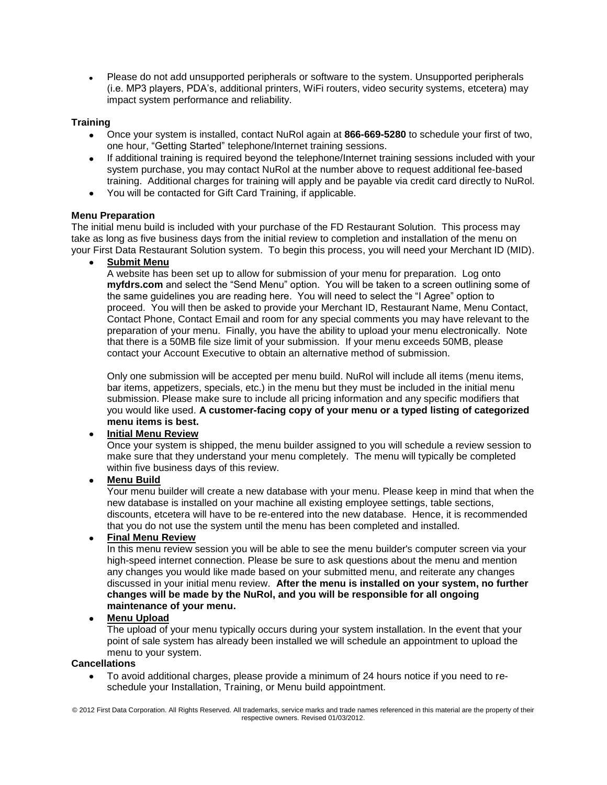Please do not add unsupported peripherals or software to the system. Unsupported peripherals (i.e. MP3 players, PDA's, additional printers, WiFi routers, video security systems, etcetera) may impact system performance and reliability.

#### **Training**

- Once your system is installed, contact NuRol again at **866-669-5280** to schedule your first of two, one hour, "Getting Started" telephone/Internet training sessions.
- If additional training is required beyond the telephone/Internet training sessions included with your system purchase, you may contact NuRol at the number above to request additional fee-based training. Additional charges for training will apply and be payable via credit card directly to NuRol.
- You will be contacted for Gift Card Training, if applicable.

#### **Menu Preparation**

The initial menu build is included with your purchase of the FD Restaurant Solution. This process may take as long as five business days from the initial review to completion and installation of the menu on your First Data Restaurant Solution system. To begin this process, you will need your Merchant ID (MID).

**Submit Menu**

A website has been set up to allow for submission of your menu for preparation. Log onto **myfdrs.com** and select the "Send Menu" option. You will be taken to a screen outlining some of the same guidelines you are reading here. You will need to select the "I Agree" option to proceed. You will then be asked to provide your Merchant ID, Restaurant Name, Menu Contact, Contact Phone, Contact Email and room for any special comments you may have relevant to the preparation of your menu. Finally, you have the ability to upload your menu electronically. Note that there is a 50MB file size limit of your submission. If your menu exceeds 50MB, please contact your Account Executive to obtain an alternative method of submission.

Only one submission will be accepted per menu build. NuRol will include all items (menu items, bar items, appetizers, specials, etc.) in the menu but they must be included in the initial menu submission. Please make sure to include all pricing information and any specific modifiers that you would like used. **A customer-facing copy of your menu or a typed listing of categorized menu items is best.**

# **Initial Menu Review**

Once your system is shipped, the menu builder assigned to you will schedule a review session to make sure that they understand your menu completely. The menu will typically be completed within five business days of this review.

# **Menu Build**

Your menu builder will create a new database with your menu. Please keep in mind that when the new database is installed on your machine all existing employee settings, table sections, discounts, etcetera will have to be re-entered into the new database. Hence, it is recommended that you do not use the system until the menu has been completed and installed.

# **Final Menu Review**

In this menu review session you will be able to see the menu builder's computer screen via your high-speed internet connection. Please be sure to ask questions about the menu and mention any changes you would like made based on your submitted menu, and reiterate any changes discussed in your initial menu review. **After the menu is installed on your system, no further changes will be made by the NuRol, and you will be responsible for all ongoing maintenance of your menu.**

# **Menu Upload**

The upload of your menu typically occurs during your system installation. In the event that your point of sale system has already been installed we will schedule an appointment to upload the menu to your system.

#### **Cancellations**

To avoid additional charges, please provide a minimum of 24 hours notice if you need to reschedule your Installation, Training, or Menu build appointment.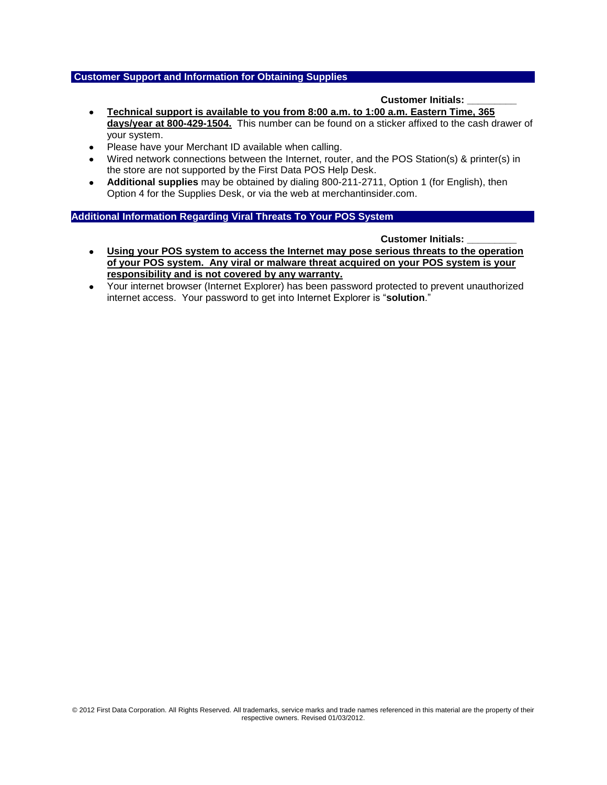#### **Customer Support and Information for Obtaining Supplies**

#### **Customer Initials: \_\_\_\_\_\_\_\_\_**

- **Technical support is available to you from 8:00 a.m. to 1:00 a.m. Eastern Time, 365**   $\bullet$ **days/year at 800-429-1504.** This number can be found on a sticker affixed to the cash drawer of your system.
- Please have your Merchant ID available when calling.
- Wired network connections between the Internet, router, and the POS Station(s) & printer(s) in the store are not supported by the First Data POS Help Desk.
- **Additional supplies** may be obtained by dialing 800-211-2711, Option 1 (for English), then  $\bullet$ Option 4 for the Supplies Desk, or via the web at merchantinsider.com.

#### **Additional Information Regarding Viral Threats To Your POS System**

#### **Customer Initials: \_\_\_\_\_\_\_\_\_**

- **Using your POS system to access the Internet may pose serious threats to the operation**   $\bullet$ **of your POS system. Any viral or malware threat acquired on your POS system is your responsibility and is not covered by any warranty.**
- Your internet browser (Internet Explorer) has been password protected to prevent unauthorized  $\bullet$ internet access. Your password to get into Internet Explorer is "**solution**."